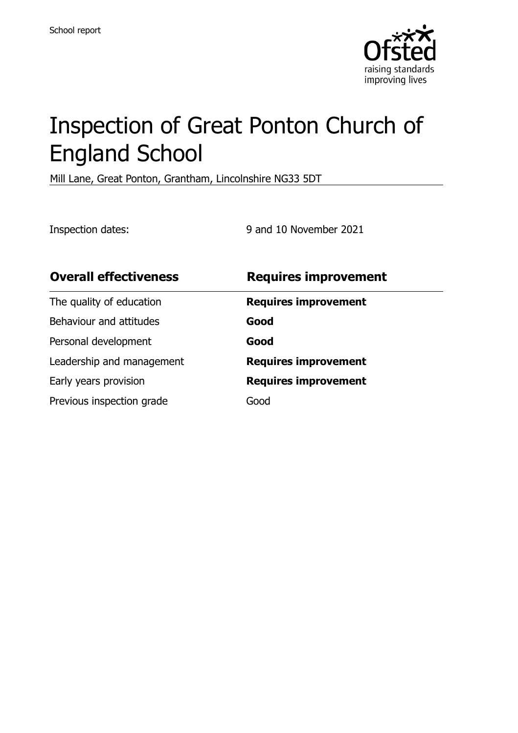

# Inspection of Great Ponton Church of England School

Mill Lane, Great Ponton, Grantham, Lincolnshire NG33 5DT

Inspection dates: 9 and 10 November 2021

| <b>Overall effectiveness</b> | <b>Requires improvement</b> |
|------------------------------|-----------------------------|
| The quality of education     | <b>Requires improvement</b> |
| Behaviour and attitudes      | Good                        |
| Personal development         | Good                        |
| Leadership and management    | <b>Requires improvement</b> |
| Early years provision        | <b>Requires improvement</b> |
| Previous inspection grade    | Good                        |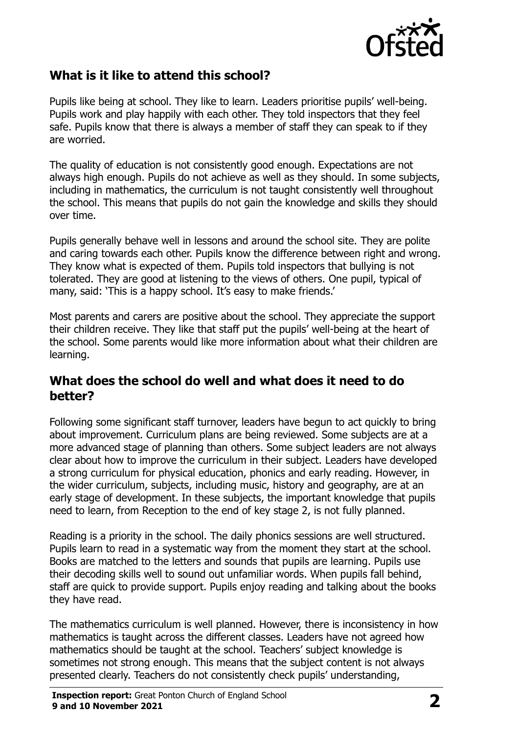

#### **What is it like to attend this school?**

Pupils like being at school. They like to learn. Leaders prioritise pupils' well-being. Pupils work and play happily with each other. They told inspectors that they feel safe. Pupils know that there is always a member of staff they can speak to if they are worried.

The quality of education is not consistently good enough. Expectations are not always high enough. Pupils do not achieve as well as they should. In some subjects, including in mathematics, the curriculum is not taught consistently well throughout the school. This means that pupils do not gain the knowledge and skills they should over time.

Pupils generally behave well in lessons and around the school site. They are polite and caring towards each other. Pupils know the difference between right and wrong. They know what is expected of them. Pupils told inspectors that bullying is not tolerated. They are good at listening to the views of others. One pupil, typical of many, said: 'This is a happy school. It's easy to make friends.'

Most parents and carers are positive about the school. They appreciate the support their children receive. They like that staff put the pupils' well-being at the heart of the school. Some parents would like more information about what their children are learning.

#### **What does the school do well and what does it need to do better?**

Following some significant staff turnover, leaders have begun to act quickly to bring about improvement. Curriculum plans are being reviewed. Some subjects are at a more advanced stage of planning than others. Some subject leaders are not always clear about how to improve the curriculum in their subject. Leaders have developed a strong curriculum for physical education, phonics and early reading. However, in the wider curriculum, subjects, including music, history and geography, are at an early stage of development. In these subjects, the important knowledge that pupils need to learn, from Reception to the end of key stage 2, is not fully planned.

Reading is a priority in the school. The daily phonics sessions are well structured. Pupils learn to read in a systematic way from the moment they start at the school. Books are matched to the letters and sounds that pupils are learning. Pupils use their decoding skills well to sound out unfamiliar words. When pupils fall behind, staff are quick to provide support. Pupils enjoy reading and talking about the books they have read.

The mathematics curriculum is well planned. However, there is inconsistency in how mathematics is taught across the different classes. Leaders have not agreed how mathematics should be taught at the school. Teachers' subject knowledge is sometimes not strong enough. This means that the subject content is not always presented clearly. Teachers do not consistently check pupils' understanding,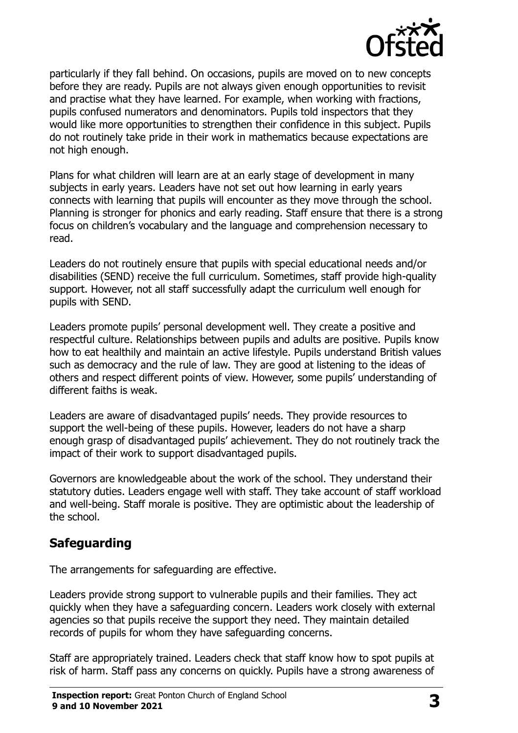

particularly if they fall behind. On occasions, pupils are moved on to new concepts before they are ready. Pupils are not always given enough opportunities to revisit and practise what they have learned. For example, when working with fractions, pupils confused numerators and denominators. Pupils told inspectors that they would like more opportunities to strengthen their confidence in this subject. Pupils do not routinely take pride in their work in mathematics because expectations are not high enough.

Plans for what children will learn are at an early stage of development in many subjects in early years. Leaders have not set out how learning in early years connects with learning that pupils will encounter as they move through the school. Planning is stronger for phonics and early reading. Staff ensure that there is a strong focus on children's vocabulary and the language and comprehension necessary to read.

Leaders do not routinely ensure that pupils with special educational needs and/or disabilities (SEND) receive the full curriculum. Sometimes, staff provide high-quality support. However, not all staff successfully adapt the curriculum well enough for pupils with SEND.

Leaders promote pupils' personal development well. They create a positive and respectful culture. Relationships between pupils and adults are positive. Pupils know how to eat healthily and maintain an active lifestyle. Pupils understand British values such as democracy and the rule of law. They are good at listening to the ideas of others and respect different points of view. However, some pupils' understanding of different faiths is weak.

Leaders are aware of disadvantaged pupils' needs. They provide resources to support the well-being of these pupils. However, leaders do not have a sharp enough grasp of disadvantaged pupils' achievement. They do not routinely track the impact of their work to support disadvantaged pupils.

Governors are knowledgeable about the work of the school. They understand their statutory duties. Leaders engage well with staff. They take account of staff workload and well-being. Staff morale is positive. They are optimistic about the leadership of the school.

## **Safeguarding**

The arrangements for safeguarding are effective.

Leaders provide strong support to vulnerable pupils and their families. They act quickly when they have a safeguarding concern. Leaders work closely with external agencies so that pupils receive the support they need. They maintain detailed records of pupils for whom they have safeguarding concerns.

Staff are appropriately trained. Leaders check that staff know how to spot pupils at risk of harm. Staff pass any concerns on quickly. Pupils have a strong awareness of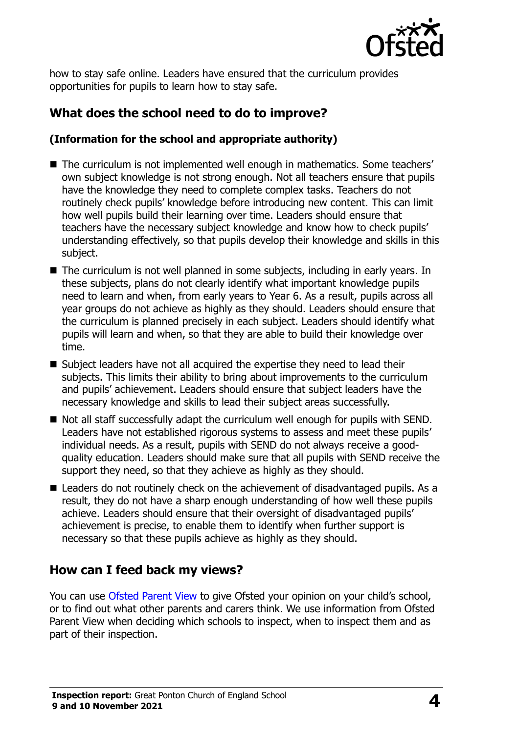

how to stay safe online. Leaders have ensured that the curriculum provides opportunities for pupils to learn how to stay safe.

## **What does the school need to do to improve?**

#### **(Information for the school and appropriate authority)**

- The curriculum is not implemented well enough in mathematics. Some teachers' own subject knowledge is not strong enough. Not all teachers ensure that pupils have the knowledge they need to complete complex tasks. Teachers do not routinely check pupils' knowledge before introducing new content. This can limit how well pupils build their learning over time. Leaders should ensure that teachers have the necessary subject knowledge and know how to check pupils' understanding effectively, so that pupils develop their knowledge and skills in this subject.
- The curriculum is not well planned in some subjects, including in early years. In these subjects, plans do not clearly identify what important knowledge pupils need to learn and when, from early years to Year 6. As a result, pupils across all year groups do not achieve as highly as they should. Leaders should ensure that the curriculum is planned precisely in each subject. Leaders should identify what pupils will learn and when, so that they are able to build their knowledge over time.
- Subject leaders have not all acquired the expertise they need to lead their subjects. This limits their ability to bring about improvements to the curriculum and pupils' achievement. Leaders should ensure that subject leaders have the necessary knowledge and skills to lead their subject areas successfully.
- Not all staff successfully adapt the curriculum well enough for pupils with SEND. Leaders have not established rigorous systems to assess and meet these pupils' individual needs. As a result, pupils with SEND do not always receive a goodquality education. Leaders should make sure that all pupils with SEND receive the support they need, so that they achieve as highly as they should.
- Leaders do not routinely check on the achievement of disadvantaged pupils. As a result, they do not have a sharp enough understanding of how well these pupils achieve. Leaders should ensure that their oversight of disadvantaged pupils' achievement is precise, to enable them to identify when further support is necessary so that these pupils achieve as highly as they should.

## **How can I feed back my views?**

You can use [Ofsted Parent View](http://parentview.ofsted.gov.uk/) to give Ofsted your opinion on your child's school, or to find out what other parents and carers think. We use information from Ofsted Parent View when deciding which schools to inspect, when to inspect them and as part of their inspection.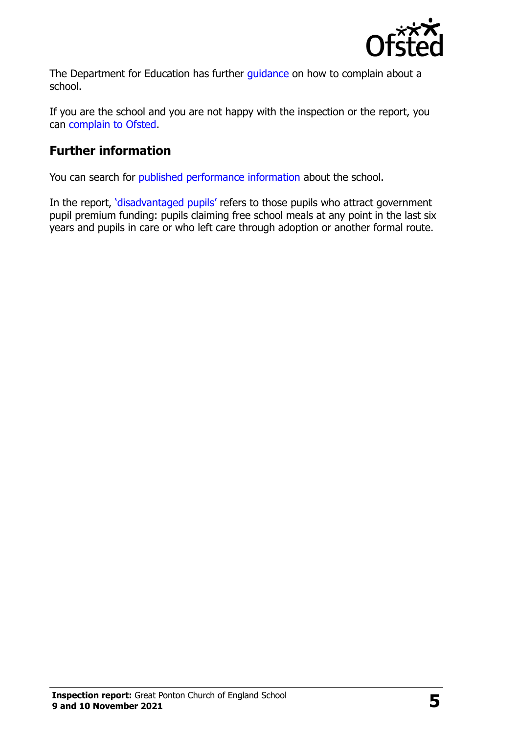

The Department for Education has further quidance on how to complain about a school.

If you are the school and you are not happy with the inspection or the report, you can [complain to Ofsted.](http://www.gov.uk/complain-ofsted-report)

#### **Further information**

You can search for [published performance information](http://www.compare-school-performance.service.gov.uk/) about the school.

In the report, '[disadvantaged pupils](http://www.gov.uk/guidance/pupil-premium-information-for-schools-and-alternative-provision-settings)' refers to those pupils who attract government pupil premium funding: pupils claiming free school meals at any point in the last six years and pupils in care or who left care through adoption or another formal route.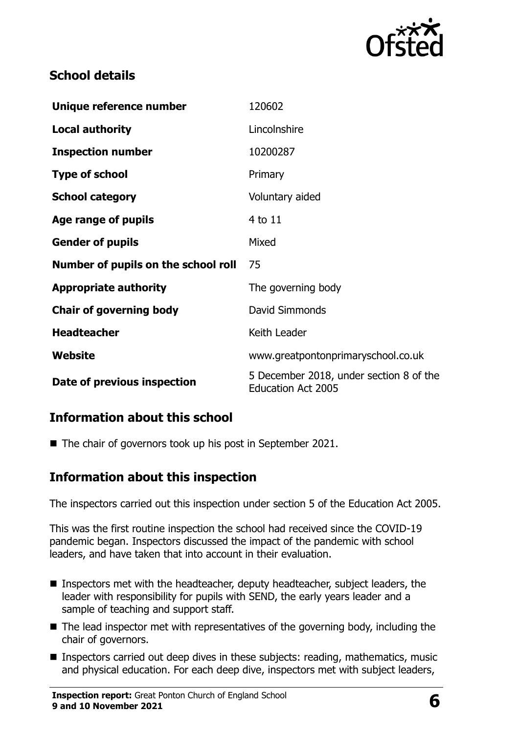

## **School details**

| Unique reference number             | 120602                                                               |
|-------------------------------------|----------------------------------------------------------------------|
| <b>Local authority</b>              | Lincolnshire                                                         |
| <b>Inspection number</b>            | 10200287                                                             |
| <b>Type of school</b>               | Primary                                                              |
| <b>School category</b>              | Voluntary aided                                                      |
| Age range of pupils                 | 4 to 11                                                              |
| <b>Gender of pupils</b>             | Mixed                                                                |
| Number of pupils on the school roll | 75                                                                   |
| <b>Appropriate authority</b>        | The governing body                                                   |
| <b>Chair of governing body</b>      | David Simmonds                                                       |
| <b>Headteacher</b>                  | Keith Leader                                                         |
| Website                             | www.greatpontonprimaryschool.co.uk                                   |
| Date of previous inspection         | 5 December 2018, under section 8 of the<br><b>Education Act 2005</b> |

## **Information about this school**

■ The chair of governors took up his post in September 2021.

#### **Information about this inspection**

The inspectors carried out this inspection under section 5 of the Education Act 2005.

This was the first routine inspection the school had received since the COVID-19 pandemic began. Inspectors discussed the impact of the pandemic with school leaders, and have taken that into account in their evaluation.

- Inspectors met with the headteacher, deputy headteacher, subject leaders, the leader with responsibility for pupils with SEND, the early years leader and a sample of teaching and support staff.
- $\blacksquare$  The lead inspector met with representatives of the governing body, including the chair of governors.
- Inspectors carried out deep dives in these subjects: reading, mathematics, music and physical education. For each deep dive, inspectors met with subject leaders,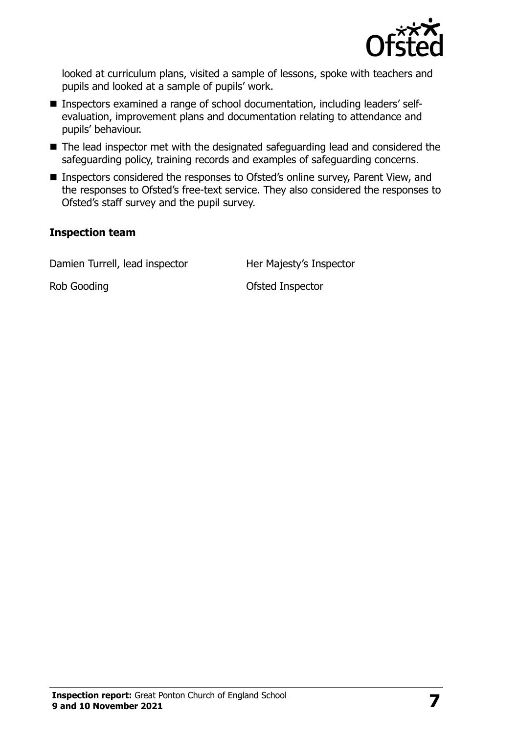

looked at curriculum plans, visited a sample of lessons, spoke with teachers and pupils and looked at a sample of pupils' work.

- Inspectors examined a range of school documentation, including leaders' selfevaluation, improvement plans and documentation relating to attendance and pupils' behaviour.
- The lead inspector met with the designated safeguarding lead and considered the safeguarding policy, training records and examples of safeguarding concerns.
- Inspectors considered the responses to Ofsted's online survey, Parent View, and the responses to Ofsted's free-text service. They also considered the responses to Ofsted's staff survey and the pupil survey.

#### **Inspection team**

Damien Turrell, lead inspector Her Majesty's Inspector

Rob Gooding **No. 2018** Construction Construction Construction Construction Construction Construction Construction Construction Construction Construction Construction Construction Construction Construction Construction Cons